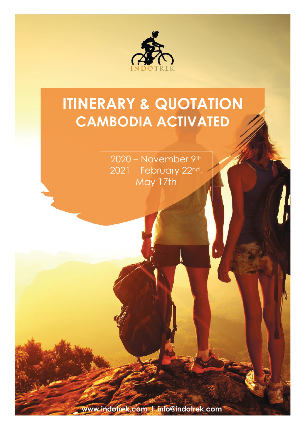

# **ITINERARY & QUOTATION CAMBODIA ACTIVATED**

2020 – November 9th 2021 – February 22nd, May 17th

**www.indotrek.com I info@indotrek.com**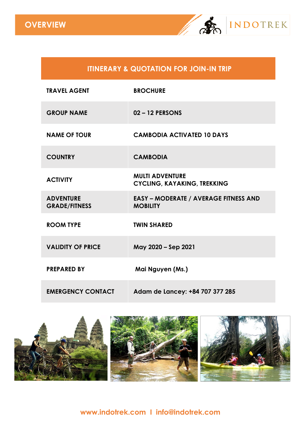

### **ITINERARY & QUOTATION FOR JOIN-IN TRIP**

| <b>TRAVEL AGENT</b>                      | <b>BROCHURE</b>                                                 |
|------------------------------------------|-----------------------------------------------------------------|
| <b>GROUP NAME</b>                        | 02-12 PERSONS                                                   |
| <b>NAME OF TOUR</b>                      | <b>CAMBODIA ACTIVATED 10 DAYS</b>                               |
| <b>COUNTRY</b>                           | <b>CAMBODIA</b>                                                 |
| <b>ACTIVITY</b>                          | <b>MULTI ADVENTURE</b><br><b>CYCLING, KAYAKING, TREKKING</b>    |
| <b>ADVENTURE</b><br><b>GRADE/FITNESS</b> | <b>EASY - MODERATE / AVERAGE FITNESS AND</b><br><b>MOBILITY</b> |
| <b>ROOM TYPE</b>                         | <b>TWIN SHARED</b>                                              |
| <b>VALIDITY OF PRICE</b>                 | May 2020 - Sep 2021                                             |
| <b>PREPARED BY</b>                       | Mai Nguyen (Ms.)                                                |
| <b>EMERGENCY CONTACT</b>                 | Adam de Lancey: +84 707 377 285                                 |

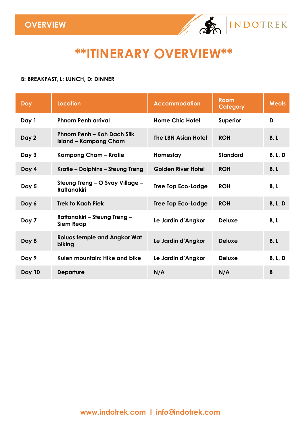

## **\*\*ITINERARY OVERVIEW\*\***

#### **B: BREAKFAST, L: LUNCH, D: DINNER**

| Day    | <b>Location</b>                                            | <b>Accommodation</b>      | <b>Room</b><br>Category | <b>Meals</b>   |
|--------|------------------------------------------------------------|---------------------------|-------------------------|----------------|
| Day 1  | <b>Phnom Penh arrival</b>                                  | <b>Home Chic Hotel</b>    | Superior                | D              |
| Day 2  | Phnom Penh – Koh Dach Silk<br><b>Island - Kampong Cham</b> | The LBN Asian Hotel       | <b>ROH</b>              | B, L           |
| Day 3  | Kampong Cham – Kratie                                      | Homestay                  | <b>Standard</b>         | <b>B, L, D</b> |
| Day 4  | Kratie – Dolphins – Steung Treng                           | <b>Golden River Hotel</b> | <b>ROH</b>              | B, L           |
| Day 5  | Steung Treng - O'Svay Village -<br><b>Rattanakiri</b>      | <b>Tree Top Eco-Lodge</b> | <b>ROH</b>              | B, L           |
| Day 6  | <b>Trek to Kaoh Piek</b>                                   | <b>Tree Top Eco-Lodge</b> | <b>ROH</b>              | B, L, D        |
| Day 7  | Rattanakiri – Steung Treng –<br><b>Siem Reap</b>           | Le Jardin d'Angkor        | <b>Deluxe</b>           | B, L           |
| Day 8  | <b>Roluos temple and Angkor Wat</b><br>biking              | Le Jardin d'Angkor        | <b>Deluxe</b>           | B, L           |
| Day 9  | Kulen mountain: Hike and bike                              | Le Jardin d'Angkor        | <b>Deluxe</b>           | <b>B, L, D</b> |
| Day 10 | <b>Departure</b>                                           | N/A                       | N/A                     | B              |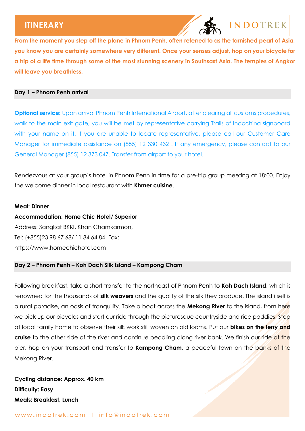## **INDOTREK**

**From the moment you step off the plane in Phnom Penh, often referred to as the tarnished pearl of Asia, you know you are certainly somewhere very different. Once your senses adjust, hop on your bicycle for a trip of a life time through some of the most stunning scenery in Southsast Asia. The temples of Angkor will leave you breathless.** 

#### **Day 1 – Phnom Penh arrival**

**Optional service:** Upon arrival Phnom Penh International Airport, after clearing all customs procedures, walk to the main exit gate, you will be met by representative carrying Trails of Indochina signboard with your name on it. If you are unable to locate representative, please call our Customer Care Manager for immediate assistance on (855) 12 330 432 . If any emergency, please contact to our General Manager (855) 12 373 047. Transfer from airport to your hotel.

Rendezvous at your group's hotel in Phnom Penh in time for a pre-trip group meeting at 18:00. Enjoy the welcome dinner in local restaurant with **Khmer cuisine**.

#### **Meal: Dinner**

#### **Accommodation: Home Chic Hotel/ Superior**

Address: Sangkat BKKI, Khan Chamkarmon, Tel: (+855)23 98 67 68/ 11 84 64 84. Fax: https://www.homechichotel.com

#### **Day 2 – Phnom Penh – Koh Dach Silk Island – Kampong Cham**

Following breakfast, take a short transfer to the northeast of Phnom Penh to **Koh Dach Island**, which is renowned for the thousands of **silk weavers** and the quality of the silk they produce. The island itself is a rural paradise, an oasis of tranquility. Take a boat across the **Mekong River** to the island, from here we pick up our bicycles and start our ride through the picturesque countryside and rice paddies. Stop at local family home to observe their silk work still woven on old looms. Put our **bikes on the ferry and cruise** to the other side of the river and continue peddling along river bank. We finish our ride at the pier, hop on your transport and transfer to **Kampong Cham**, a peaceful town on the banks of the Mekong River.

**Cycling distance: Approx. 40 km Difficulty: Easy Meals: Breakfast, Lunch**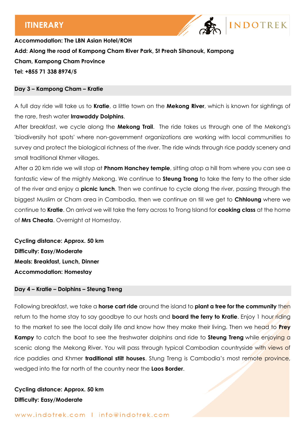

**Accommodation: The LBN Asian Hotel/ROH Add: Along the road of Kampong Cham River Park, St Preah Sihanouk, Kampong Cham, Kampong Cham Province Tel: +855 71 338 8974/5**

#### **Day 3 – Kampong Cham – Kratie**

A full day ride will take us to **Kratie**, a little town on the **Mekong River**, which is known for sightings of the rare, fresh water **Irrawaddy Dolphins**.

After breakfast, we cycle along the **Mekong Trail**. The ride takes us through one of the Mekong's 'biodiversity hot spots' where non-government organizations are working with local communities to survey and protect the biological richness of the river. The ride winds through rice paddy scenery and small traditional Khmer villages.

After a 20 km ride we will stop at **Phnom Hanchey temple**, sitting atop a hill from where you can see a fantastic view of the mighty Mekong. We continue to **Steung Trong** to take the ferry to the other side of the river and enjoy a **picnic lunch**. Then we continue to cycle along the river, passing through the biggest Muslim or Cham area in Cambodia, then we continue on till we get to **Chhloung** where we continue to **Kratie**. On arrival we will take the ferry across to Trong Island for **cooking class** at the home of **Mrs Cheata**. Overnight at Homestay.

**Cycling distance: Approx. 50 km Difficulty: Easy/Moderate Meals: Breakfast, Lunch, Dinner Accommodation: Homestay**

#### **Day 4 – Kratie – Dolphins – Steung Treng**

Following breakfast, we take a **horse cart ride** around the island to **plant a tree for the community** then return to the home stay to say goodbye to our hosts and **board the ferry to Kratie**. Enjoy 1 hour riding to the market to see the local daily life and know how they make their living. Then we head to **Prey Kampy** to catch the boat to see the freshwater dolphins and ride to **Steung Treng** while enjoying a scenic along the Mekong River. You will pass through typical Cambodian countryside with views of rice paddies and Khmer **traditional stilt houses**. Stung Treng is Cambodia's most remote province, wedged into the far north of the country near the **Laos Border**.

**Cycling distance: Approx. 50 km Difficulty: Easy/Moderate**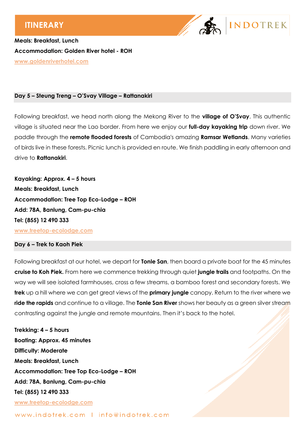

**Meals: Breakfast, Lunch Accommodation: Golden River hotel - ROH [www.goldenriverhotel.com](http://www.goldenriverhotel.com/)**

#### **Day 5 – Steung Treng – O'Svay Village – Rattanakiri**

Following breakfast, we head north along the Mekong River to the **village of O'Svay**. This authentic village is situated near the Lao border. From here we enjoy our **full-day kayaking trip** down river. We paddle through the **remote flooded forests** of Cambodia's amazing **Ramsar Wetlands**. Many varieties of birds live in these forests. Picnic lunch is provided en route. We finish paddling in early afternoon and drive to **Rattanakiri**.

**Kayaking: Approx. 4 – 5 hours Meals: Breakfast, Lunch Accommodation: Tree Top Eco-Lodge – ROH Add: 78A, Banlung, Cam-pu-chia Tel: (855) 12 490 333**

**[www.treetop-ecolodge.com](http://www.treetop-ecolodge.com/)**

#### **Day 6 – Trek to Kaoh Piek**

Following breakfast at our hotel, we depart for **Tonle San**, then board a private boat for the 45 minutes **cruise to Koh Piek.** From here we commence trekking through quiet **jungle trails** and footpaths. On the way we will see isolated farmhouses, cross a few streams, a bamboo forest and secondary forests. We **trek** up a hill where we can get great views of the **primary jungle** canopy. Return to the river where we **ride the rapids** and continue to a village. The **Tonle San River** shows her beauty as a green silver stream contrasting against the jungle and remote mountains. Then it's back to the hotel.

**Trekking: 4 – 5 hours Boating: Approx. 45 minutes Difficulty: Moderate Meals: Breakfast, Lunch Accommodation: Tree Top Eco-Lodge – ROH Add: 78A, Banlung, Cam-pu-chia Tel: (855) 12 490 333 [www.treetop-ecolodge.com](http://www.treetop-ecolodge.com/)**

www.indotrek.com | info@indotrek.com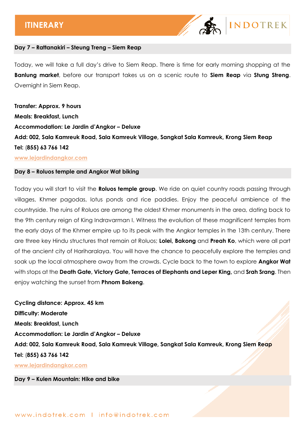

#### **Day 7 – Rattanakiri – Steung Treng – Siem Reap**

Today, we will take a full day's drive to Siem Reap. There is time for early morning shopping at the **Banlung market**, before our transport takes us on a scenic route to **Siem Reap** via **Stung Streng**. Overnight in Siem Reap.

**Transfer: Approx. 9 hours Meals: Breakfast, Lunch Accommodation: Le Jardin d'Angkor – Deluxe Add: 002, Sala Kamreuk Road, Sala Kamreuk Village, Sangkat Sala Kamreuk, Krong Siem Reap Tel:** (**855) 63 766 142**

#### **[www.lejardindangkor.com](http://www.lejardindangkor.com/)**

#### **Day 8 – Roluos temple and Angkor Wat biking**

Today you will start to visit the **Roluos temple group**. We ride on quiet country roads passing through villages, Khmer pagodas, lotus ponds and rice paddies. Enjoy the peaceful ambience of the countryside. The ruins of Roluos are among the oldest Khmer monuments in the area, dating back to the 9th century reign of King Indravarman I. Witness the evolution of these magnificent temples from the early days of the Khmer empire up to its peak with the Angkor temples in the 13th century. There are three key Hindu structures that remain at Roluos; **Lolei, Bakong** and **Preah Ko**, which were all part of the ancient city of Hariharalaya. You will have the chance to peacefully explore the temples and soak up the local atmosphere away from the crowds. Cycle back to the town to explore **Angkor Wat** with stops at the **Death Gate, Victory Gate, Terraces of Elephants and Leper King,** and **Srah Srang**. Then enjoy watching the sunset from **Phnom Bakeng**.

**Cycling distance: Approx. 45 km Difficulty: Moderate Meals: Breakfast, Lunch Accommodation: Le Jardin d'Angkor – Deluxe Add: 002, Sala Kamreuk Road, Sala Kamreuk Village, Sangkat Sala Kamreuk, Krong Siem Reap Tel:** (**855) 63 766 142 [www.lejardindangkor.com](http://www.lejardindangkor.com/)**

**Day 9 – Kulen Mountain: Hike and bike**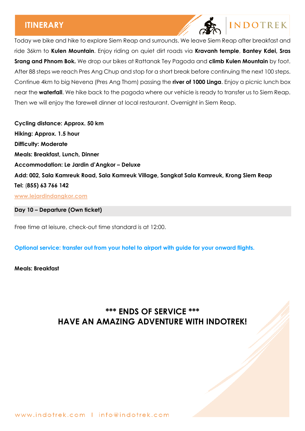## **INDOTREK**

Today we bike and hike to explore Siem Reap and surrounds. We leave Siem Reap after breakfast and ride 36km to **Kulen Mountain**. Enjoy riding on quiet dirt roads via **Kravanh temple**, **Bantey Kdei, Sras Srang and Phnom Bok.** We drop our bikes at Rattanak Tey Pagoda and **climb Kulen Mountain** by foot. After 88 steps we reach Pres Ang Chup and stop for a short break before continuing the next 100 steps. Continue 4km to big Nevena (Pres Ang Thom) passing the **river of 1000 Linga**. Enjoy a picnic lunch box near the **waterfall**. We hike back to the pagoda where our vehicle is ready to transfer us to Siem Reap. Then we will enjoy the farewell dinner at local restaurant. Overnight in Siem Reap.

**Cycling distance: Approx. 50 km Hiking: Approx. 1.5 hour Difficulty: Moderate Meals: Breakfast, Lunch, Dinner Accommodation: Le Jardin d'Angkor – Deluxe Add: 002, Sala Kamreuk Road, Sala Kamreuk Village, Sangkat Sala Kamreuk, Krong Siem Reap Tel:** (**855) 63 766 142 [www.lejardindangkor.com](http://www.lejardindangkor.com/)**

**Day 10 – Departure (Own ticket)**

Free time at leisure, check-out time standard is at 12:00.

**Optional service: transfer out from your hotel to airport with guide for your onward flights.** 

**Meals: Breakfast**

## **\*\*\* ENDS OF SERVICE \*\*\* HAVE AN AMAZING ADVENTURE WITH INDOTREK!**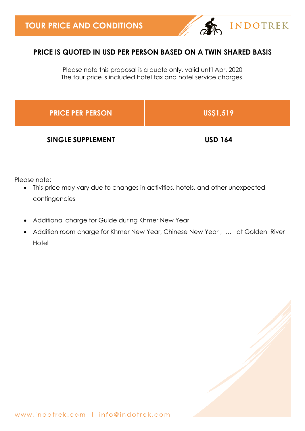

### **PRICE IS QUOTED IN USD PER PERSON BASED ON A TWIN SHARED BASIS**

Please note this proposal is a quote only, valid until Apr. 2020 The tour price is included hotel tax and hotel service charges.

| <b>PRICE PER PERSON</b>  | US\$1,519      |
|--------------------------|----------------|
| <b>SINGLE SUPPLEMENT</b> | <b>USD 164</b> |

Please note:

- This price may vary due to changes in activities, hotels, and other unexpected contingencies
- Additional charge for Guide during Khmer New Year
- Addition room charge for Khmer New Year, Chinese New Year , … at Golden River **Hotel**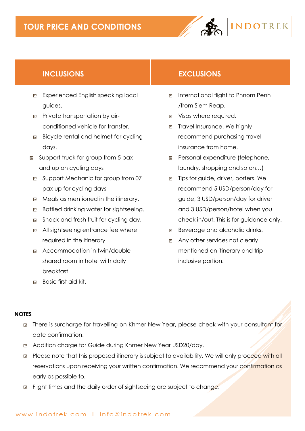## **TOUR PRICE AND CONDITIONS**



### **INCLUSIONS EXCLUSIONS**

- Experienced English speaking local guides.
- **Private transportation by air**conditioned vehicle for transfer.
- $\Box$  Bicycle rental and helmet for cycling days.
- $\Box$  Support truck for group from 5 pax and up on cycling days
- Support Mechanic for group from 07 pax up for cycling days
- Meals as mentioned in the itinerary.
- Bottled drinking water for sightseeing.
- Snack and fresh fruit for cycling day.
- All sightseeing entrance fee where required in the itinerary.
- Accommodation in twin/double shared room in hotel with daily breakfast.
- 
- International flight to Phnom Penh /from Siem Reap.
- Visas where required.
- □ Travel Insurance. We highly recommend purchasing travel insurance from home.
- Personal expenditure (telephone, laundry, shopping and so on…)
- □ Tips for guide, driver, porters. We recommend 5 USD/person/day for guide, 3 USD/person/day for driver and 3 USD/person/hotel when you check in/out. This is for guidance only.
- **Beverage and alcoholic drinks.**
- Any other services not clearly mentioned on itinerary and trip inclusive portion.

Basic first aid kit.

#### **NOTES**

- **E** There is surcharge for travelling on Khmer New Year, please check with your consultant for date confirmation.
- Addition charge for Guide during Khmer New Year USD20/day.
- **P** Please note that this proposed itinerary is subject to availability. We will only proceed with all reservations upon receiving your written confirmation. We recommend your confirmation as early as possible to.
- Flight times and the daily order of sightseeing are subject to change.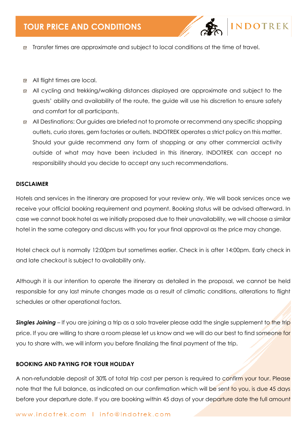

- □ Transfer times are approximate and subject to local conditions at the time of travel.
- All flight times are local.
- All cycling and trekking/walking distances displayed are approximate and subject to the guests' ability and availability of the route, the guide will use his discretion to ensure safety and comfort for all participants.
- All Destinations: Our guides are briefed not to promote or recommend any specific shopping outlets, curio stores, gem factories or outlets. INDOTREK operates a strict policy on this matter. Should your guide recommend any form of shopping or any other commercial activity outside of what may have been included in this itinerary, INDOTREK can accept no responsibility should you decide to accept any such recommendations.

#### **DISCLAIMER**

Hotels and services in the itinerary are proposed for your review only. We will book services once we receive your official booking requirement and payment. Booking status will be advised afterward. In case we cannot book hotel as we initially proposed due to their unavailability, we will choose a similar hotel in the same category and discuss with you for your final approval as the price may change.

Hotel check out is normally 12:00pm but sometimes earlier. Check in is after 14:00pm. Early check in and late checkout is subject to availability only.

Although it is our intention to operate the itinerary as detailed in the proposal, we cannot be held responsible for any last minute changes made as a result of climatic conditions, alterations to flight schedules or other operational factors.

**Singles Joining** – If you are joining a trip as a solo traveler please add the single supplement to the trip price. If you are willing to share a room please let us know and we will do our best to find someone for you to share with, we will inform you before finalizing the final payment of the trip.

#### **BOOKING AND PAYING FOR YOUR HOLIDAY**

A non-refundable deposit of 30% of total trip cost per person is required to confirm your tour. Please note that the full balance, as indicated on our confirmation which will be sent to you, is due 45 days before your departure date. If you are booking within 45 days of your departure date the full amount

#### www.indotrek.com | info@indotrek.com